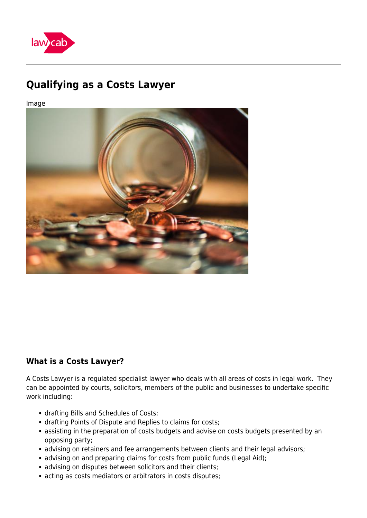

# **Qualifying as a Costs Lawyer**

Image



## **What is a Costs Lawyer?**

A Costs Lawyer is a regulated specialist lawyer who deals with all areas of costs in legal work. They can be appointed by courts, solicitors, members of the public and businesses to undertake specific work including:

- drafting Bills and Schedules of Costs;
- drafting Points of Dispute and Replies to claims for costs;
- assisting in the preparation of costs budgets and advise on costs budgets presented by an opposing party;
- advising on retainers and fee arrangements between clients and their legal advisors;
- advising on and preparing claims for costs from public funds (Legal Aid);
- advising on disputes between solicitors and their clients;
- acting as costs mediators or arbitrators in costs disputes;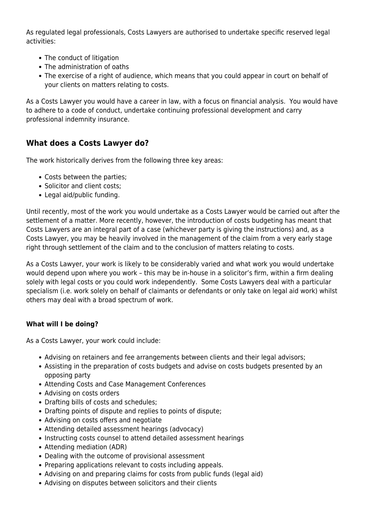As regulated legal professionals, Costs Lawyers are authorised to undertake specific reserved legal activities:

- The conduct of litigation
- The administration of oaths
- The exercise of a right of audience, which means that you could appear in court on behalf of your clients on matters relating to costs.

As a Costs Lawyer you would have a career in law, with a focus on financial analysis. You would have to adhere to a code of conduct, undertake continuing professional development and carry professional indemnity insurance.

## **What does a Costs Lawyer do?**

The work historically derives from the following three key areas:

- Costs between the parties;
- Solicitor and client costs:
- Legal aid/public funding.

Until recently, most of the work you would undertake as a Costs Lawyer would be carried out after the settlement of a matter. More recently, however, the introduction of costs budgeting has meant that Costs Lawyers are an integral part of a case (whichever party is giving the instructions) and, as a Costs Lawyer, you may be heavily involved in the management of the claim from a very early stage right through settlement of the claim and to the conclusion of matters relating to costs.

As a Costs Lawyer, your work is likely to be considerably varied and what work you would undertake would depend upon where you work – this may be in-house in a solicitor's firm, within a firm dealing solely with legal costs or you could work independently. Some Costs Lawyers deal with a particular specialism (i.e. work solely on behalf of claimants or defendants or only take on legal aid work) whilst others may deal with a broad spectrum of work.

### **What will I be doing?**

As a Costs Lawyer, your work could include:

- Advising on retainers and fee arrangements between clients and their legal advisors;
- Assisting in the preparation of costs budgets and advise on costs budgets presented by an opposing party
- Attending Costs and Case Management Conferences
- Advising on costs orders
- Drafting bills of costs and schedules;
- Drafting points of dispute and replies to points of dispute;
- Advising on costs offers and negotiate
- Attending detailed assessment hearings (advocacy)
- Instructing costs counsel to attend detailed assessment hearings
- Attending mediation (ADR)
- Dealing with the outcome of provisional assessment
- Preparing applications relevant to costs including appeals.
- Advising on and preparing claims for costs from public funds (legal aid)
- Advising on disputes between solicitors and their clients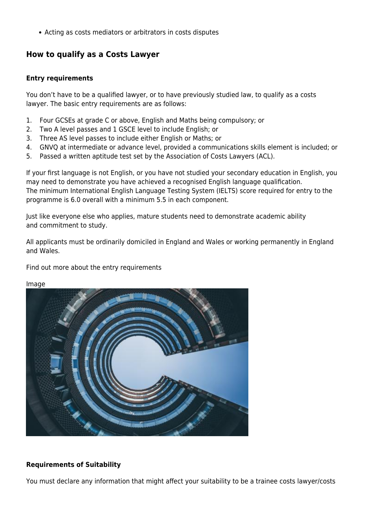Acting as costs mediators or arbitrators in costs disputes

## **How to qualify as a Costs Lawyer**

#### **Entry requirements**

You don't have to be a qualified lawyer, or to have previously studied law, to qualify as a costs lawyer. The basic entry requirements are as follows:

- 1. Four GCSEs at grade C or above, English and Maths being compulsory; or
- 2. Two A level passes and 1 GSCE level to include English; or
- 3. Three AS level passes to include either English or Maths; or
- 4. GNVQ at intermediate or advance level, provided a communications skills element is included; or
- 5. Passed a written aptitude test set by the Association of Costs Lawyers (ACL).

If your first language is not English, or you have not studied your secondary education in English, you may need to demonstrate you have achieved a recognised English language qualification. The minimum International English Language Testing System (IELTS) score required for entry to the programme is 6.0 overall with a minimum 5.5 in each component.

Just like everyone else who applies, mature students need to demonstrate academic ability and commitment to study.

All applicants must be ordinarily domiciled in England and Wales or working permanently in England and Wales.

Find out more about the entry requirements

Image



#### **Requirements of Suitability**

You must declare any information that might affect your suitability to be a trainee costs lawyer/costs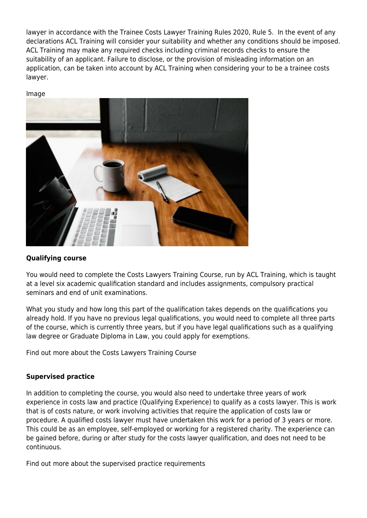lawyer in accordance with the Trainee Costs Lawyer Training Rules 2020, Rule 5. In the event of any declarations ACL Training will consider your suitability and whether any conditions should be imposed. ACL Training may make any required checks including criminal records checks to ensure the suitability of an applicant. Failure to disclose, or the provision of misleading information on an application, can be taken into account by ACL Training when considering your to be a trainee costs lawyer.

#### Image



#### **Qualifying course**

You would need to complete the Costs Lawyers Training Course, run by ACL Training, which is taught at a level six academic qualification standard and includes assignments, compulsory practical seminars and end of unit examinations.

What you study and how long this part of the qualification takes depends on the qualifications you already hold. If you have no previous legal qualifications, you would need to complete all three parts of the course, which is currently three years, but if you have legal qualifications such as a qualifying law degree or Graduate Diploma in Law, you could apply for exemptions.

Find out more about the Costs Lawyers Training Course

#### **Supervised practice**

In addition to completing the course, you would also need to undertake three years of work experience in costs law and practice (Qualifying Experience) to qualify as a costs lawyer. This is work that is of costs nature, or work involving activities that require the application of costs law or procedure. A qualified costs lawyer must have undertaken this work for a period of 3 years or more. This could be as an employee, self-employed or working for a registered charity. The experience can be gained before, during or after study for the costs lawyer qualification, and does not need to be continuous.

Find out more about the supervised practice requirements